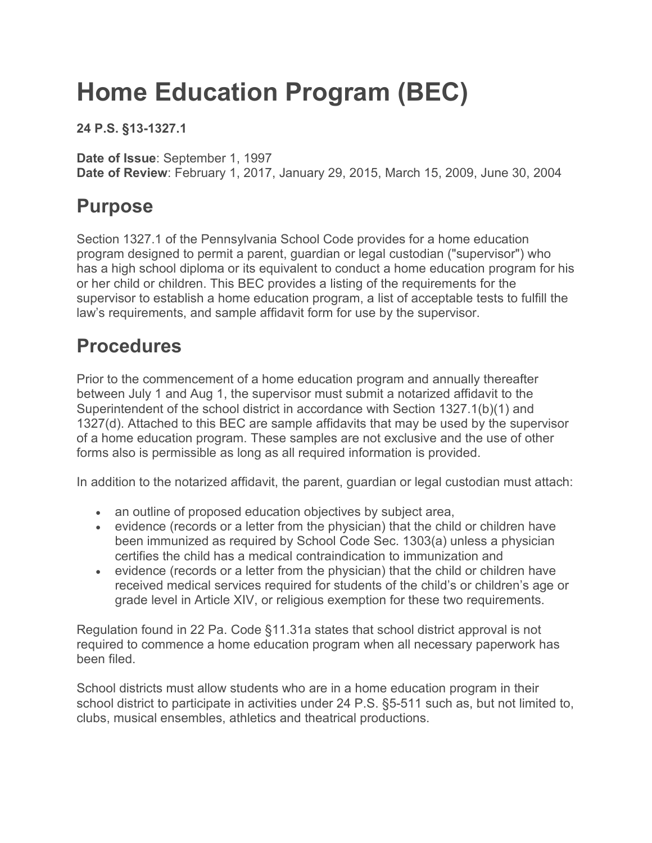# **Home Education Program (BEC)**

**24 P.S. §13-1327.1**

**Date of Issue**: September 1, 1997 **Date of Review**: February 1, 2017, January 29, 2015, March 15, 2009, June 30, 2004

## **Purpose**

Section 1327.1 of the Pennsylvania School Code provides for a home education program designed to permit a parent, guardian or legal custodian ("supervisor") who has a high school diploma or its equivalent to conduct a home education program for his or her child or children. This BEC provides a listing of the requirements for the supervisor to establish a home education program, a list of acceptable tests to fulfill the law's requirements, and sample affidavit form for use by the supervisor.

# **Procedures**

Prior to the commencement of a home education program and annually thereafter between July 1 and Aug 1, the supervisor must submit a notarized affidavit to the Superintendent of the school district in accordance with Section 1327.1(b)(1) and 1327(d). Attached to this BEC are sample affidavits that may be used by the supervisor of a home education program. These samples are not exclusive and the use of other forms also is permissible as long as all required information is provided.

In addition to the notarized affidavit, the parent, guardian or legal custodian must attach:

- an outline of proposed education objectives by subject area,
- evidence (records or a letter from the physician) that the child or children have been immunized as required by School Code Sec. 1303(a) unless a physician certifies the child has a medical contraindication to immunization and
- evidence (records or a letter from the physician) that the child or children have received medical services required for students of the child's or children's age or grade level in Article XIV, or religious exemption for these two requirements.

Regulation found in 22 Pa. Code §11.31a states that school district approval is not required to commence a home education program when all necessary paperwork has been filed.

School districts must allow students who are in a home education program in their school district to participate in activities under 24 P.S. §5-511 such as, but not limited to, clubs, musical ensembles, athletics and theatrical productions.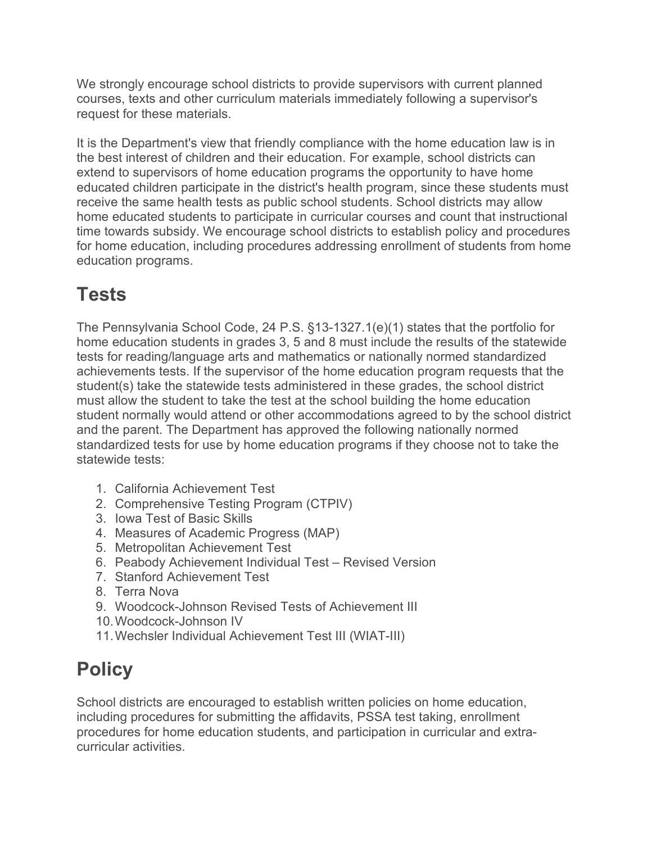We strongly encourage school districts to provide supervisors with current planned courses, texts and other curriculum materials immediately following a supervisor's request for these materials.

It is the Department's view that friendly compliance with the home education law is in the best interest of children and their education. For example, school districts can extend to supervisors of home education programs the opportunity to have home educated children participate in the district's health program, since these students must receive the same health tests as public school students. School districts may allow home educated students to participate in curricular courses and count that instructional time towards subsidy. We encourage school districts to establish policy and procedures for home education, including procedures addressing enrollment of students from home education programs.

# **Tests**

The Pennsylvania School Code, 24 P.S. §13-1327.1(e)(1) states that the portfolio for home education students in grades 3, 5 and 8 must include the results of the statewide tests for reading/language arts and mathematics or nationally normed standardized achievements tests. If the supervisor of the home education program requests that the student(s) take the statewide tests administered in these grades, the school district must allow the student to take the test at the school building the home education student normally would attend or other accommodations agreed to by the school district and the parent. The Department has approved the following nationally normed standardized tests for use by home education programs if they choose not to take the statewide tests:

- 1. California Achievement Test
- 2. Comprehensive Testing Program (CTPIV)
- 3. Iowa Test of Basic Skills
- 4. Measures of Academic Progress (MAP)
- 5. Metropolitan Achievement Test
- 6. Peabody Achievement Individual Test Revised Version
- 7. Stanford Achievement Test
- 8. Terra Nova
- 9. Woodcock-Johnson Revised Tests of Achievement III
- 10.Woodcock-Johnson IV
- 11.Wechsler Individual Achievement Test III (WIAT-III)

# **Policy**

School districts are encouraged to establish written policies on home education, including procedures for submitting the affidavits, PSSA test taking, enrollment procedures for home education students, and participation in curricular and extracurricular activities.